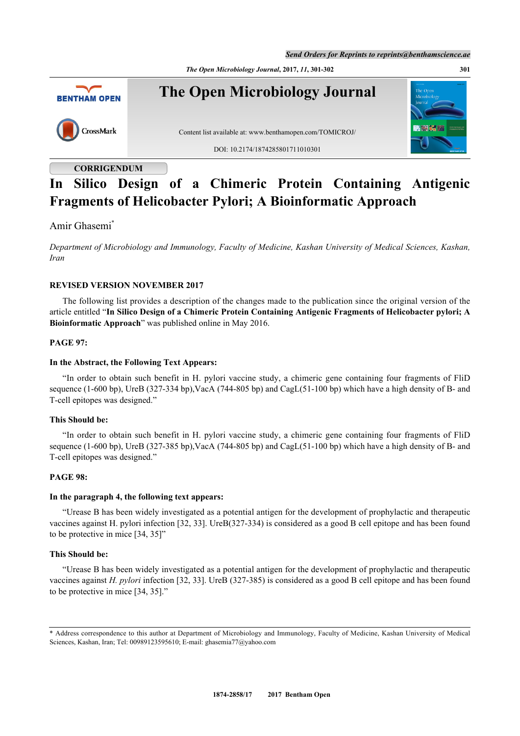*Send Orders for Reprints to reprints@benthamscience.ae*

*The Open Microbiology Journal***, 2017,** *11***, 301-302 301**



# **CORRIGENDUM**

# **In Silico Design of a Chimeric Protein Containing Antigenic Fragments of Helicobacter Pylori; A Bioinformatic Approach**

Amir Ghasemi[\\*](#page-0-0)

*Department of Microbiology and Immunology, Faculty of Medicine, Kashan University of Medical Sciences, Kashan, Iran*

## **REVISED VERSION NOVEMBER 2017**

The following list provides a description of the changes made to the publication since the original version of the article entitled "**In Silico Design of a Chimeric Protein Containing Antigenic Fragments of Helicobacter pylori; A Bioinformatic Approach**" was published online in May 2016.

## **PAGE 97:**

## **In the Abstract, the Following Text Appears:**

"In order to obtain such benefit in H. pylori vaccine study, a chimeric gene containing four fragments of FliD sequence (1-600 bp), UreB (327-334 bp),VacA (744-805 bp) and CagL(51-100 bp) which have a high density of B- and T-cell epitopes was designed."

## **This Should be:**

"In order to obtain such benefit in H. pylori vaccine study, a chimeric gene containing four fragments of FliD sequence (1-600 bp), UreB (327-385 bp),VacA (744-805 bp) and CagL(51-100 bp) which have a high density of B- and T-cell epitopes was designed."

## **PAGE 98:**

## **In the paragraph 4, the following text appears:**

"Urease B has been widely investigated as a potential antigen for the development of prophylactic and therapeutic vaccines against H. pylori infection [32, 33]. UreB(327-334) is considered as a good B cell epitope and has been found to be protective in mice [34, 35]"

## **This Should be:**

"Urease B has been widely investigated as a potential antigen for the development of prophylactic and therapeutic vaccines against *H. pylori* infection [32, 33]. UreB (327-385) is considered as a good B cell epitope and has been found to be protective in mice [34, 35]."

<span id="page-0-0"></span><sup>\*</sup> Address correspondence to this author at Department of Microbiology and Immunology, Faculty of Medicine, Kashan University of Medical Sciences, Kashan, Iran; Tel: 00989123595610; E-mail: [ghasemia77@yahoo.com](mailto:ghasemia77@yahoo.com)